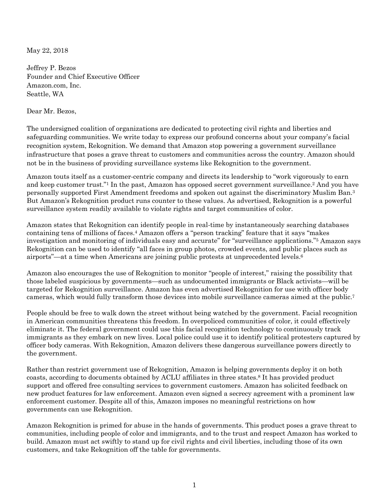May 22, 2018

Jeffrey P. Bezos Founder and Chief Executive Officer Amazon.com, Inc. Seattle, WA

Dear Mr. Bezos,

The undersigned coalition of organizations are dedicated to protecting civil rights and liberties and safeguarding communities. We write today to express our profound concerns about your company's facial recognition system, Rekognition. We demand that Amazon stop powering a government surveillance infrastructure that poses a grave threat to customers and communities across the country. Amazon should not be in the business of providing surveillance systems like Rekognition to the government.

Amazon touts itself as a customer-centric company and directs its leadership to "work vigorously to earn and keep customer trust."1 In the past, Amazon has opposed secret government surveillance.2 And you have personally supported First Amendment freedoms and spoken out against the discriminatory Muslim Ban.3 But Amazon's Rekognition product runs counter to these values. As advertised, Rekognition is a powerful surveillance system readily available to violate rights and target communities of color.

Amazon states that Rekognition can identify people in real-time by instantaneously searching databases containing tens of millions of faces.4 Amazon offers a "person tracking" feature that it says "makes investigation and monitoring of individuals easy and accurate" for "surveillance applications."5 Amazon says Rekognition can be used to identify "all faces in group photos, crowded events, and public places such as airports"—at a time when Americans are joining public protests at unprecedented levels.6

Amazon also encourages the use of Rekognition to monitor "people of interest," raising the possibility that those labeled suspicious by governments—such as undocumented immigrants or Black activists—will be targeted for Rekognition surveillance. Amazon has even advertised Rekognition for use with officer body cameras, which would fully transform those devices into mobile surveillance cameras aimed at the public.7

People should be free to walk down the street without being watched by the government. Facial recognition in American communities threatens this freedom. In overpoliced communities of color, it could effectively eliminate it. The federal government could use this facial recognition technology to continuously track immigrants as they embark on new lives. Local police could use it to identify political protesters captured by officer body cameras. With Rekognition, Amazon delivers these dangerous surveillance powers directly to the government.

Rather than restrict government use of Rekognition, Amazon is helping governments deploy it on both coasts, according to documents obtained by ACLU affiliates in three states.8 It has provided product support and offered free consulting services to government customers. Amazon has solicited feedback on new product features for law enforcement. Amazon even signed a secrecy agreement with a prominent law enforcement customer. Despite all of this, Amazon imposes no meaningful restrictions on how governments can use Rekognition.

Amazon Rekognition is primed for abuse in the hands of governments. This product poses a grave threat to communities, including people of color and immigrants, and to the trust and respect Amazon has worked to build. Amazon must act swiftly to stand up for civil rights and civil liberties, including those of its own customers, and take Rekognition off the table for governments.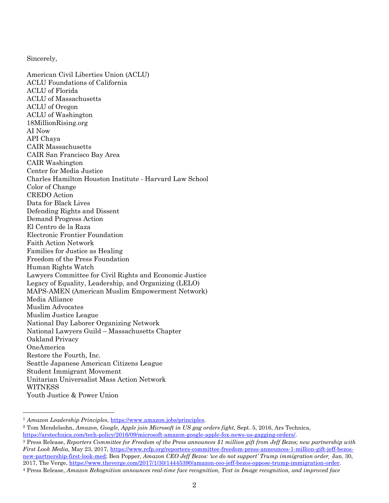Sincerely,

American Civil Liberties Union (ACLU) ACLU Foundations of California ACLU of Florida ACLU of Massachusetts ACLU of Oregon ACLU of Washington 18MillionRising.org AI Now API Chaya CAIR Massachusetts CAIR San Francisco Bay Area CAIR Washington Center for Media Justice Charles Hamilton Houston Institute - Harvard Law School Color of Change CREDO Action Data for Black Lives Defending Rights and Dissent Demand Progress Action El Centro de la Raza Electronic Frontier Foundation Faith Action Network Families for Justice as Healing Freedom of the Press Foundation Human Rights Watch Lawyers Committee for Civil Rights and Economic Justice Legacy of Equality, Leadership, and Organizing (LELO) MAPS-AMEN (American Muslim Empowerment Network) Media Alliance Muslim Advocates Muslim Justice League National Day Laborer Organizing Network National Lawyers Guild – Massachusetts Chapter Oakland Privacy OneAmerica Restore the Fourth, Inc. Seattle Japanese American Citizens League Student Immigrant Movement Unitarian Universalist Mass Action Network **WITNESS** Youth Justice & Power Union

<sup>1</sup> *Amazon Leadership Principles*, [https://www.amazon.jobs/principles.](https://www.amazon.jobs/principles)

<sup>2</sup> Tom Mendelsohn, *Amazon, Google, Apple join Microsoft in US gag orders fight*, Sept. 5, 2016, Ars Technica, [https://arstechnica.com/tech-policy/2016/09/microsoft-amazon-google-apple-fox-news-us-gagging-orders/.](https://arstechnica.com/tech-policy/2016/09/microsoft-amazon-google-apple-fox-news-us-gagging-orders/)

<sup>3</sup> Press Release, *Reporters Committee for Freedom of the Press announces \$1 million gift from Jeff Bezos; new partnership with First Look Media*, May 23, 2017, [https://www.rcfp.org/reporters-committee-freedom-press-announces-1-million-gift-jeff-bezos](https://www.rcfp.org/reporters-committee-freedom-press-announces-1-million-gift-jeff-bezos-new-partnership-first-look-med)[new-partnership-first-look-med;](https://www.rcfp.org/reporters-committee-freedom-press-announces-1-million-gift-jeff-bezos-new-partnership-first-look-med) Ben Popper, *Amazon CEO Jeff Bezos: 'we do not support' Trump immigration order¸* Jan. 30, 2017, The Verge, [https://www.theverge.com/2017/1/30/14445390/amazon-ceo-jeff-bezos-oppose-trump-immigration-order.](https://www.theverge.com/2017/1/30/14445390/amazon-ceo-jeff-bezos-oppose-trump-immigration-order) <sup>4</sup> Press Release, *Amazon Rekognition announces real-time face recognition, Text in Image recognition, and improved face*